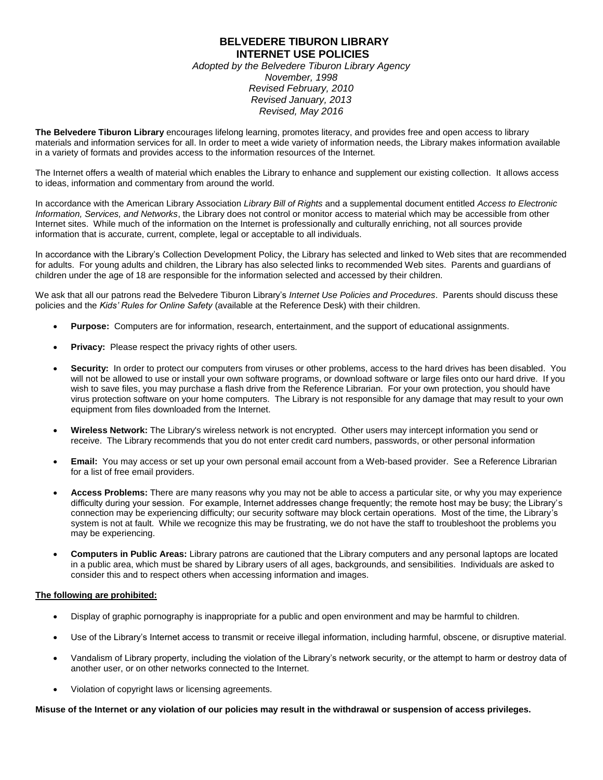## **BELVEDERE TIBURON LIBRARY INTERNET USE POLICIES**

*Adopted by the Belvedere Tiburon Library Agency November, 1998 Revised February, 2010 Revised January, 2013 Revised, May 2016*

**The Belvedere Tiburon Library** encourages lifelong learning, promotes literacy, and provides free and open access to library materials and information services for all. In order to meet a wide variety of information needs, the Library makes information available in a variety of formats and provides access to the information resources of the Internet.

The Internet offers a wealth of material which enables the Library to enhance and supplement our existing collection. It allows access to ideas, information and commentary from around the world.

In accordance with the American Library Association *Library Bill of Rights* and a supplemental document entitled *Access to Electronic Information, Services, and Networks*, the Library does not control or monitor access to material which may be accessible from other Internet sites. While much of the information on the Internet is professionally and culturally enriching, not all sources provide information that is accurate, current, complete, legal or acceptable to all individuals.

In accordance with the Library's Collection Development Policy, the Library has selected and linked to Web sites that are recommended for adults. For young adults and children, the Library has also selected links to recommended Web sites. Parents and guardians of children under the age of 18 are responsible for the information selected and accessed by their children.

We ask that all our patrons read the Belvedere Tiburon Library's *Internet Use Policies and Procedures*. Parents should discuss these policies and the *Kids' Rules for Online Safety* (available at the Reference Desk) with their children.

- **Purpose:** Computers are for information, research, entertainment, and the support of educational assignments.
- **Privacy:** Please respect the privacy rights of other users.
- **Security:** In order to protect our computers from viruses or other problems, access to the hard drives has been disabled. You will not be allowed to use or install your own software programs, or download software or large files onto our hard drive. If you wish to save files, you may purchase a flash drive from the Reference Librarian. For your own protection, you should have virus protection software on your home computers. The Library is not responsible for any damage that may result to your own equipment from files downloaded from the Internet.
- **Wireless Network:** The Library's wireless network is not encrypted. Other users may intercept information you send or receive. The Library recommends that you do not enter credit card numbers, passwords, or other personal information
- **Email:** You may access or set up your own personal email account from a Web-based provider. See a Reference Librarian for a list of free email providers.
- **Access Problems:** There are many reasons why you may not be able to access a particular site, or why you may experience difficulty during your session. For example, Internet addresses change frequently; the remote host may be busy; the Library's connection may be experiencing difficulty; our security software may block certain operations. Most of the time, the Library's system is not at fault. While we recognize this may be frustrating, we do not have the staff to troubleshoot the problems you may be experiencing.
- **Computers in Public Areas:** Library patrons are cautioned that the Library computers and any personal laptops are located in a public area, which must be shared by Library users of all ages, backgrounds, and sensibilities. Individuals are asked to consider this and to respect others when accessing information and images.

## **The following are prohibited:**

- Display of graphic pornography is inappropriate for a public and open environment and may be harmful to children.
- Use of the Library's Internet access to transmit or receive illegal information, including harmful, obscene, or disruptive material.
- Vandalism of Library property, including the violation of the Library's network security, or the attempt to harm or destroy data of another user, or on other networks connected to the Internet.
- Violation of copyright laws or licensing agreements.

**Misuse of the Internet or any violation of our policies may result in the withdrawal or suspension of access privileges.**